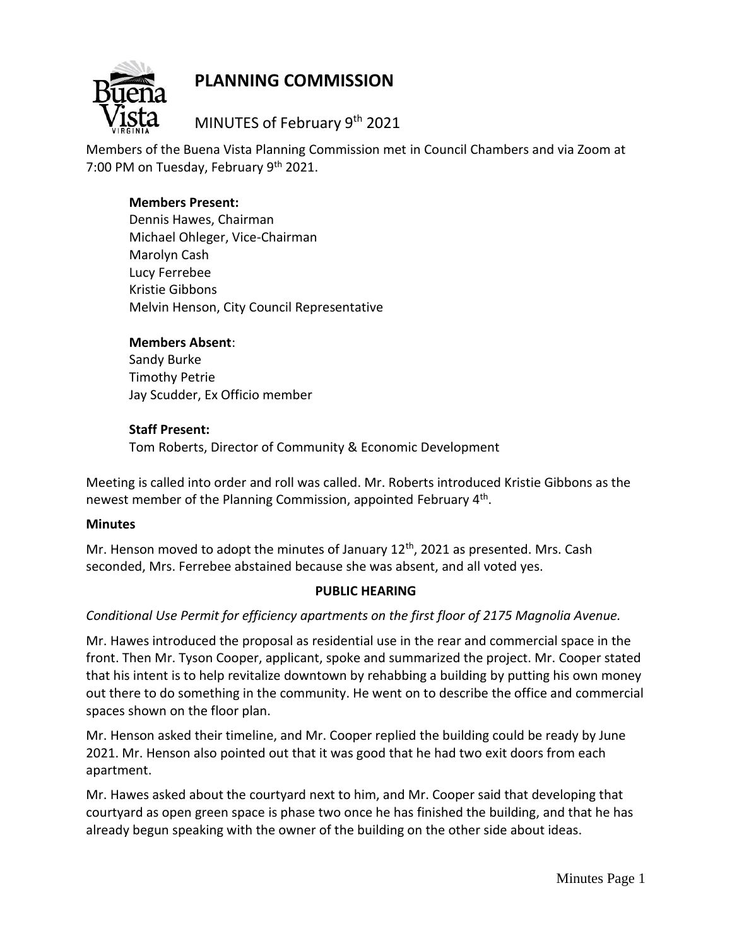



MINUTES of February 9<sup>th</sup> 2021

Members of the Buena Vista Planning Commission met in Council Chambers and via Zoom at 7:00 PM on Tuesday, February 9th 2021.

# **Members Present:**

Dennis Hawes, Chairman Michael Ohleger, Vice-Chairman Marolyn Cash Lucy Ferrebee Kristie Gibbons Melvin Henson, City Council Representative

### **Members Absent**:

Sandy Burke Timothy Petrie Jay Scudder, Ex Officio member

### **Staff Present:**

Tom Roberts, Director of Community & Economic Development

Meeting is called into order and roll was called. Mr. Roberts introduced Kristie Gibbons as the newest member of the Planning Commission, appointed February 4<sup>th</sup>.

#### **Minutes**

Mr. Henson moved to adopt the minutes of January  $12<sup>th</sup>$ , 2021 as presented. Mrs. Cash seconded, Mrs. Ferrebee abstained because she was absent, and all voted yes.

# **PUBLIC HEARING**

# *Conditional Use Permit for efficiency apartments on the first floor of 2175 Magnolia Avenue.*

Mr. Hawes introduced the proposal as residential use in the rear and commercial space in the front. Then Mr. Tyson Cooper, applicant, spoke and summarized the project. Mr. Cooper stated that his intent is to help revitalize downtown by rehabbing a building by putting his own money out there to do something in the community. He went on to describe the office and commercial spaces shown on the floor plan.

Mr. Henson asked their timeline, and Mr. Cooper replied the building could be ready by June 2021. Mr. Henson also pointed out that it was good that he had two exit doors from each apartment.

Mr. Hawes asked about the courtyard next to him, and Mr. Cooper said that developing that courtyard as open green space is phase two once he has finished the building, and that he has already begun speaking with the owner of the building on the other side about ideas.